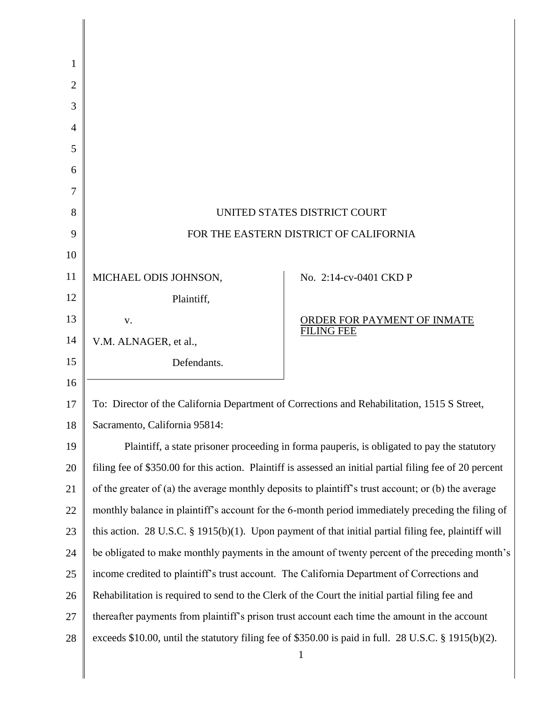| 1  |                                                                                                           |                                                         |
|----|-----------------------------------------------------------------------------------------------------------|---------------------------------------------------------|
| 2  |                                                                                                           |                                                         |
| 3  |                                                                                                           |                                                         |
| 4  |                                                                                                           |                                                         |
| 5  |                                                                                                           |                                                         |
| 6  |                                                                                                           |                                                         |
| 7  |                                                                                                           |                                                         |
| 8  | UNITED STATES DISTRICT COURT                                                                              |                                                         |
| 9  | FOR THE EASTERN DISTRICT OF CALIFORNIA                                                                    |                                                         |
| 10 |                                                                                                           |                                                         |
| 11 | MICHAEL ODIS JOHNSON,                                                                                     | No. 2:14-cv-0401 CKD P                                  |
| 12 | Plaintiff,                                                                                                |                                                         |
| 13 | V.                                                                                                        | <u>ORDER FOR PAYMENT OF INMATE</u><br><b>FILING FEE</b> |
| 14 | V.M. ALNAGER, et al.,                                                                                     |                                                         |
| 15 | Defendants.                                                                                               |                                                         |
| 16 |                                                                                                           |                                                         |
| 17 | To: Director of the California Department of Corrections and Rehabilitation, 1515 S Street,               |                                                         |
| 18 | Sacramento, California 95814:                                                                             |                                                         |
| 19 | Plaintiff, a state prisoner proceeding in forma pauperis, is obligated to pay the statutory               |                                                         |
| 20 | filing fee of \$350.00 for this action. Plaintiff is assessed an initial partial filing fee of 20 percent |                                                         |
| 21 | of the greater of (a) the average monthly deposits to plaintiff's trust account; or (b) the average       |                                                         |
| 22 | monthly balance in plaintiff's account for the 6-month period immediately preceding the filing of         |                                                         |
| 23 | this action. 28 U.S.C. $\S$ 1915(b)(1). Upon payment of that initial partial filing fee, plaintiff will   |                                                         |
| 24 | be obligated to make monthly payments in the amount of twenty percent of the preceding month's            |                                                         |
| 25 | income credited to plaintiff's trust account. The California Department of Corrections and                |                                                         |
| 26 | Rehabilitation is required to send to the Clerk of the Court the initial partial filing fee and           |                                                         |
| 27 | thereafter payments from plaintiff's prison trust account each time the amount in the account             |                                                         |
| 28 | exceeds \$10.00, until the statutory filing fee of \$350.00 is paid in full. 28 U.S.C. § 1915(b)(2).      |                                                         |
|    |                                                                                                           | 1                                                       |